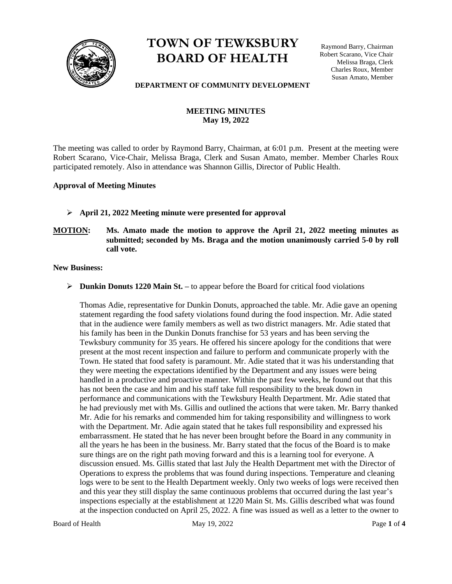

# **TOWN OF TEWKSBURY BOARD OF HEALTH**

Raymond Barry, Chairman Robert Scarano, Vice Chair Melissa Braga, Clerk Charles Roux, Member Susan Amato, Member

#### **DEPARTMENT OF COMMUNITY DEVELOPMENT**

# **MEETING MINUTES May 19, 2022**

The meeting was called to order by Raymond Barry, Chairman, at 6:01 p.m. Present at the meeting were Robert Scarano, Vice-Chair, Melissa Braga, Clerk and Susan Amato, member. Member Charles Roux participated remotely. Also in attendance was Shannon Gillis, Director of Public Health.

# **Approval of Meeting Minutes**

- ➢ **April 21, 2022 Meeting minute were presented for approval**
- **MOTION: Ms. Amato made the motion to approve the April 21, 2022 meeting minutes as submitted; seconded by Ms. Braga and the motion unanimously carried 5-0 by roll call vote.**

**New Business:** 

➢ **Dunkin Donuts 1220 Main St. –** to appear before the Board for critical food violations

Thomas Adie, representative for Dunkin Donuts, approached the table. Mr. Adie gave an opening statement regarding the food safety violations found during the food inspection. Mr. Adie stated that in the audience were family members as well as two district managers. Mr. Adie stated that his family has been in the Dunkin Donuts franchise for 53 years and has been serving the Tewksbury community for 35 years. He offered his sincere apology for the conditions that were present at the most recent inspection and failure to perform and communicate properly with the Town. He stated that food safety is paramount. Mr. Adie stated that it was his understanding that they were meeting the expectations identified by the Department and any issues were being handled in a productive and proactive manner. Within the past few weeks, he found out that this has not been the case and him and his staff take full responsibility to the break down in performance and communications with the Tewksbury Health Department. Mr. Adie stated that he had previously met with Ms. Gillis and outlined the actions that were taken. Mr. Barry thanked Mr. Adie for his remarks and commended him for taking responsibility and willingness to work with the Department. Mr. Adie again stated that he takes full responsibility and expressed his embarrassment. He stated that he has never been brought before the Board in any community in all the years he has been in the business. Mr. Barry stated that the focus of the Board is to make sure things are on the right path moving forward and this is a learning tool for everyone. A discussion ensued. Ms. Gillis stated that last July the Health Department met with the Director of Operations to express the problems that was found during inspections. Temperature and cleaning logs were to be sent to the Health Department weekly. Only two weeks of logs were received then and this year they still display the same continuous problems that occurred during the last year's inspections especially at the establishment at 1220 Main St. Ms. Gillis described what was found at the inspection conducted on April 25, 2022. A fine was issued as well as a letter to the owner to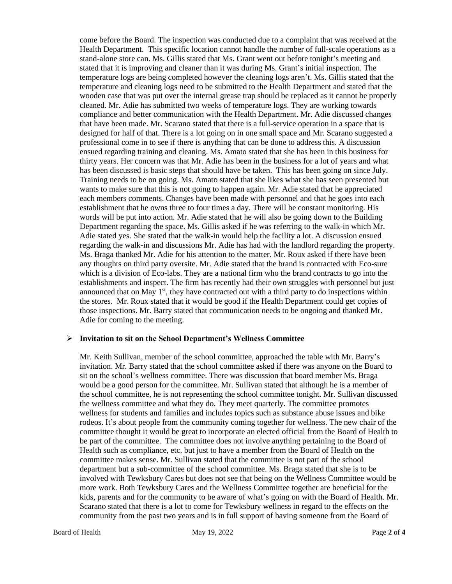come before the Board. The inspection was conducted due to a complaint that was received at the Health Department. This specific location cannot handle the number of full-scale operations as a stand-alone store can. Ms. Gillis stated that Ms. Grant went out before tonight's meeting and stated that it is improving and cleaner than it was during Ms. Grant's initial inspection. The temperature logs are being completed however the cleaning logs aren't. Ms. Gillis stated that the temperature and cleaning logs need to be submitted to the Health Department and stated that the wooden case that was put over the internal grease trap should be replaced as it cannot be properly cleaned. Mr. Adie has submitted two weeks of temperature logs. They are working towards compliance and better communication with the Health Department. Mr. Adie discussed changes that have been made. Mr. Scarano stated that there is a full-service operation in a space that is designed for half of that. There is a lot going on in one small space and Mr. Scarano suggested a professional come in to see if there is anything that can be done to address this. A discussion ensued regarding training and cleaning. Ms. Amato stated that she has been in this business for thirty years. Her concern was that Mr. Adie has been in the business for a lot of years and what has been discussed is basic steps that should have be taken. This has been going on since July. Training needs to be on going. Ms. Amato stated that she likes what she has seen presented but wants to make sure that this is not going to happen again. Mr. Adie stated that he appreciated each members comments. Changes have been made with personnel and that he goes into each establishment that he owns three to four times a day. There will be constant monitoring. His words will be put into action. Mr. Adie stated that he will also be going down to the Building Department regarding the space. Ms. Gillis asked if he was referring to the walk-in which Mr. Adie stated yes. She stated that the walk-in would help the facility a lot. A discussion ensued regarding the walk-in and discussions Mr. Adie has had with the landlord regarding the property. Ms. Braga thanked Mr. Adie for his attention to the matter. Mr. Roux asked if there have been any thoughts on third party oversite. Mr. Adie stated that the brand is contracted with Eco-sure which is a division of Eco-labs. They are a national firm who the brand contracts to go into the establishments and inspect. The firm has recently had their own struggles with personnel but just announced that on May  $1<sup>st</sup>$ , they have contracted out with a third party to do inspections within the stores. Mr. Roux stated that it would be good if the Health Department could get copies of those inspections. Mr. Barry stated that communication needs to be ongoing and thanked Mr. Adie for coming to the meeting.

#### ➢ **Invitation to sit on the School Department's Wellness Committee**

Mr. Keith Sullivan, member of the school committee, approached the table with Mr. Barry's invitation. Mr. Barry stated that the school committee asked if there was anyone on the Board to sit on the school's wellness committee. There was discussion that board member Ms. Braga would be a good person for the committee. Mr. Sullivan stated that although he is a member of the school committee, he is not representing the school committee tonight. Mr. Sullivan discussed the wellness committee and what they do. They meet quarterly. The committee promotes wellness for students and families and includes topics such as substance abuse issues and bike rodeos. It's about people from the community coming together for wellness. The new chair of the committee thought it would be great to incorporate an elected official from the Board of Health to be part of the committee. The committee does not involve anything pertaining to the Board of Health such as compliance, etc. but just to have a member from the Board of Health on the committee makes sense. Mr. Sullivan stated that the committee is not part of the school department but a sub-committee of the school committee. Ms. Braga stated that she is to be involved with Tewksbury Cares but does not see that being on the Wellness Committee would be more work. Both Tewksbury Cares and the Wellness Committee together are beneficial for the kids, parents and for the community to be aware of what's going on with the Board of Health. Mr. Scarano stated that there is a lot to come for Tewksbury wellness in regard to the effects on the community from the past two years and is in full support of having someone from the Board of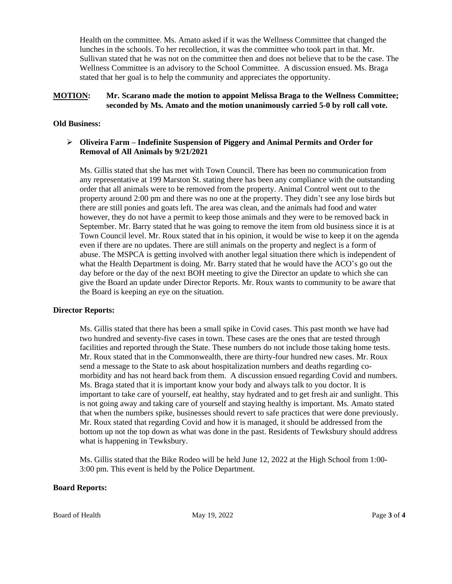Health on the committee. Ms. Amato asked if it was the Wellness Committee that changed the lunches in the schools. To her recollection, it was the committee who took part in that. Mr. Sullivan stated that he was not on the committee then and does not believe that to be the case. The Wellness Committee is an advisory to the School Committee. A discussion ensued. Ms. Braga stated that her goal is to help the community and appreciates the opportunity.

# **MOTION: Mr. Scarano made the motion to appoint Melissa Braga to the Wellness Committee; seconded by Ms. Amato and the motion unanimously carried 5-0 by roll call vote.**

# **Old Business:**

# ➢ **Oliveira Farm – Indefinite Suspension of Piggery and Animal Permits and Order for Removal of All Animals by 9/21/2021**

Ms. Gillis stated that she has met with Town Council. There has been no communication from any representative at 199 Marston St. stating there has been any compliance with the outstanding order that all animals were to be removed from the property. Animal Control went out to the property around 2:00 pm and there was no one at the property. They didn't see any lose birds but there are still ponies and goats left. The area was clean, and the animals had food and water however, they do not have a permit to keep those animals and they were to be removed back in September. Mr. Barry stated that he was going to remove the item from old business since it is at Town Council level. Mr. Roux stated that in his opinion, it would be wise to keep it on the agenda even if there are no updates. There are still animals on the property and neglect is a form of abuse. The MSPCA is getting involved with another legal situation there which is independent of what the Health Department is doing. Mr. Barry stated that he would have the ACO's go out the day before or the day of the next BOH meeting to give the Director an update to which she can give the Board an update under Director Reports. Mr. Roux wants to community to be aware that the Board is keeping an eye on the situation.

#### **Director Reports:**

Ms. Gillis stated that there has been a small spike in Covid cases. This past month we have had two hundred and seventy-five cases in town. These cases are the ones that are tested through facilities and reported through the State. These numbers do not include those taking home tests. Mr. Roux stated that in the Commonwealth, there are thirty-four hundred new cases. Mr. Roux send a message to the State to ask about hospitalization numbers and deaths regarding comorbidity and has not heard back from them. A discussion ensued regarding Covid and numbers. Ms. Braga stated that it is important know your body and always talk to you doctor. It is important to take care of yourself, eat healthy, stay hydrated and to get fresh air and sunlight. This is not going away and taking care of yourself and staying healthy is important. Ms. Amato stated that when the numbers spike, businesses should revert to safe practices that were done previously. Mr. Roux stated that regarding Covid and how it is managed, it should be addressed from the bottom up not the top down as what was done in the past. Residents of Tewksbury should address what is happening in Tewksbury.

Ms. Gillis stated that the Bike Rodeo will be held June 12, 2022 at the High School from 1:00- 3:00 pm. This event is held by the Police Department.

#### **Board Reports:**

Board of Health May 19, 2022 Page 3 of 4